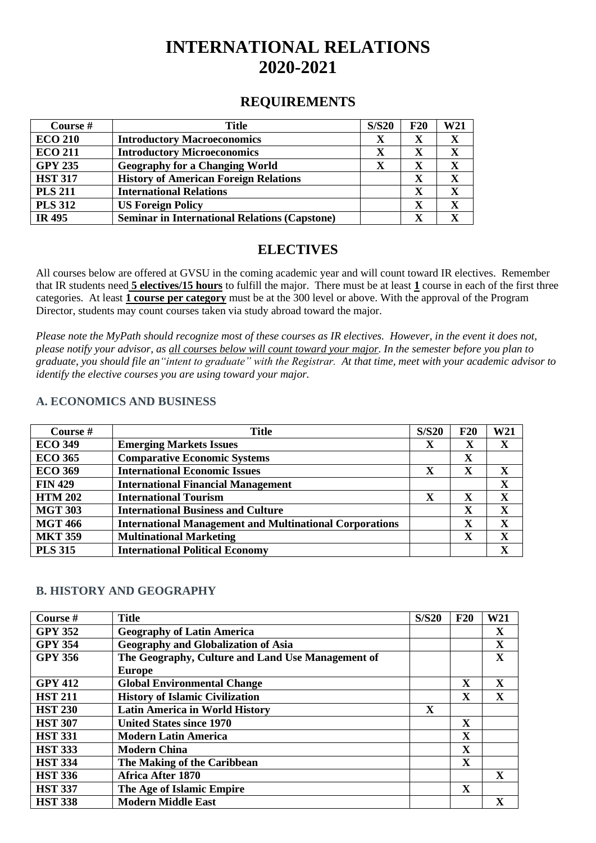# **INTERNATIONAL RELATIONS 2020-2021**

### **REQUIREMENTS**

| Course #       | <b>Title</b>                                         | <b>S/S20</b> | F20         | W21                     |
|----------------|------------------------------------------------------|--------------|-------------|-------------------------|
| <b>ECO 210</b> | <b>Introductory Macroeconomics</b>                   | X            | X           | X                       |
| <b>ECO 211</b> | <b>Introductory Microeconomics</b>                   |              | $\mathbf X$ | $\mathbf X$             |
| <b>GPY 235</b> | <b>Geography for a Changing World</b>                |              | X           | X                       |
| <b>HST 317</b> | <b>History of American Foreign Relations</b>         |              | X           | $\mathbf X$             |
| <b>PLS 211</b> | <b>International Relations</b>                       |              | X           | $\overline{\mathbf{X}}$ |
| <b>PLS 312</b> | <b>US Foreign Policy</b>                             |              | X           | X                       |
| <b>IR 495</b>  | <b>Seminar in International Relations (Capstone)</b> |              | X           |                         |

## **ELECTIVES**

All courses below are offered at GVSU in the coming academic year and will count toward IR electives. Remember that IR students need **5 electives/15 hours** to fulfill the major. There must be at least **1** course in each of the first three categories. At least **1 course per category** must be at the 300 level or above. With the approval of the Program Director, students may count courses taken via study abroad toward the major.

*Please note the MyPath should recognize most of these courses as IR electives. However, in the event it does not, please notify your advisor, as all courses below will count toward your major. In the semester before you plan to graduate, you should file an"intent to graduate" with the Registrar. At that time, meet with your academic advisor to identify the elective courses you are using toward your major.*

#### **A. ECONOMICS AND BUSINESS**

| Course #       | <b>Title</b>                                                   | <b>S/S20</b> | F20 | W21         |
|----------------|----------------------------------------------------------------|--------------|-----|-------------|
| <b>ECO 349</b> | <b>Emerging Markets Issues</b>                                 | X            | X   | X           |
| <b>ECO 365</b> | <b>Comparative Economic Systems</b>                            |              | X   |             |
| <b>ECO 369</b> | <b>International Economic Issues</b>                           | X            | X   | X           |
| <b>FIN 429</b> | <b>International Financial Management</b>                      |              |     | $\mathbf X$ |
| <b>HTM 202</b> | <b>International Tourism</b>                                   | X            | X   | X           |
| <b>MGT 303</b> | <b>International Business and Culture</b>                      |              | X   | X           |
| <b>MGT 466</b> | <b>International Management and Multinational Corporations</b> |              | X   | X           |
| <b>MKT 359</b> | <b>Multinational Marketing</b>                                 |              | X   | X           |
| <b>PLS 315</b> | <b>International Political Economy</b>                         |              |     | $\mathbf X$ |

#### **B. HISTORY AND GEOGRAPHY**

| Course #       | <b>Title</b>                                      | <b>S/S20</b> | F20         | W <sub>21</sub> |
|----------------|---------------------------------------------------|--------------|-------------|-----------------|
| <b>GPY 352</b> | <b>Geography of Latin America</b>                 |              |             | X               |
| <b>GPY 354</b> | <b>Geography and Globalization of Asia</b>        |              |             | $\mathbf X$     |
| <b>GPY 356</b> | The Geography, Culture and Land Use Management of |              |             | X               |
|                | <b>Europe</b>                                     |              |             |                 |
| <b>GPY 412</b> | <b>Global Environmental Change</b>                |              | $\mathbf x$ | X               |
| <b>HST 211</b> | <b>History of Islamic Civilization</b>            |              | $\mathbf x$ | $\mathbf{X}$    |
| <b>HST 230</b> | <b>Latin America in World History</b>             | $\mathbf X$  |             |                 |
| <b>HST 307</b> | <b>United States since 1970</b>                   |              | $\mathbf x$ |                 |
| <b>HST 331</b> | <b>Modern Latin America</b>                       |              | X           |                 |
| <b>HST 333</b> | <b>Modern China</b>                               |              | $\mathbf x$ |                 |
| <b>HST 334</b> | The Making of the Caribbean                       |              | X           |                 |
| <b>HST 336</b> | <b>Africa After 1870</b>                          |              |             | X               |
| <b>HST 337</b> | The Age of Islamic Empire                         |              | X           |                 |
| <b>HST 338</b> | <b>Modern Middle East</b>                         |              |             | X               |